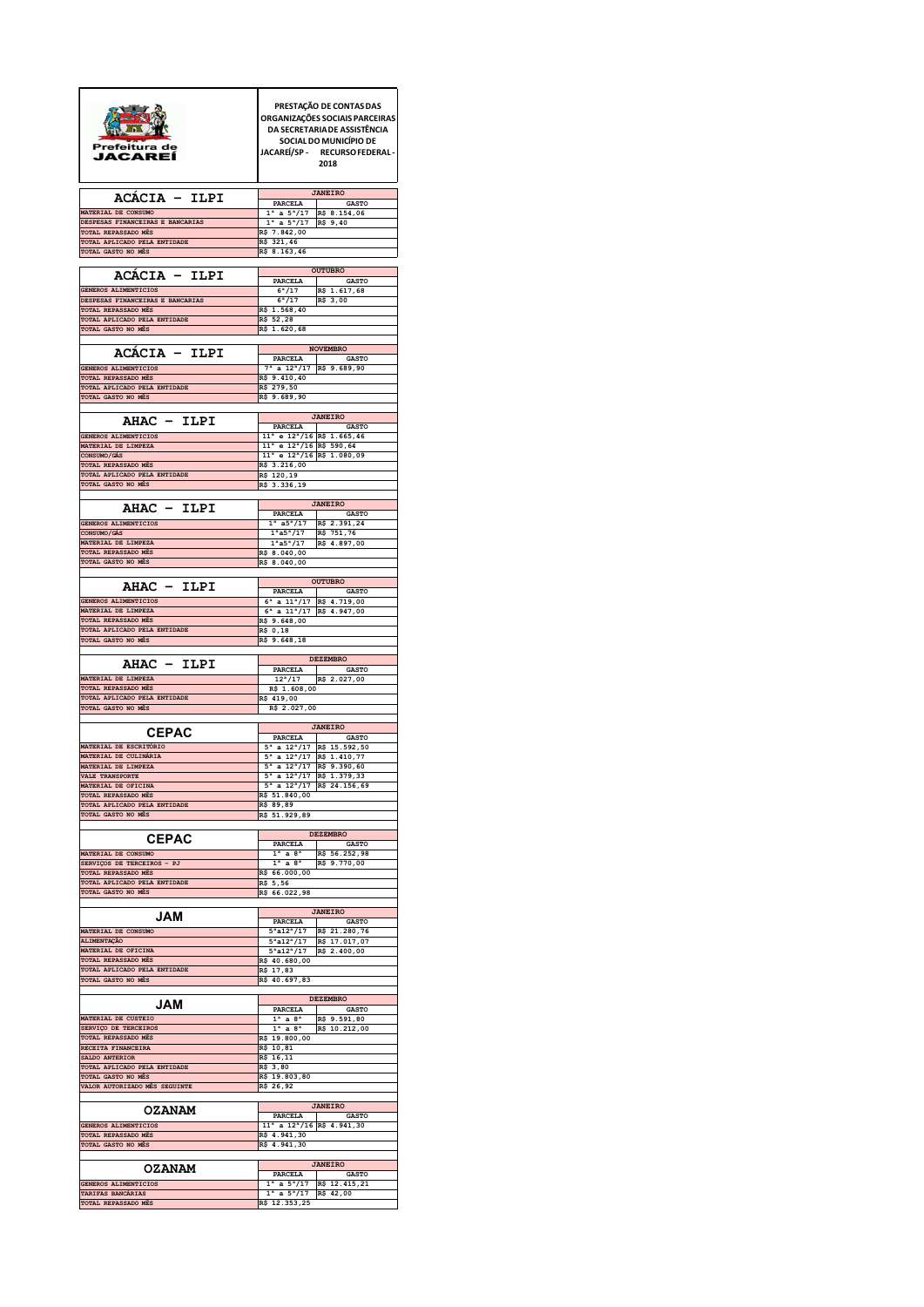| Prefeitura de<br>JACAREI                                        | PRESTAÇÃO DE CONTAS DAS<br>ORGANIZAÇÕES SOCIAIS PARCEIRAS<br>DA SECRETARIA DE ASSISTÊNCIA<br>SOCIAL DO MUNICÍPIO DE<br>JACAREÍ/SP - RECURSO FEDERAL -<br>2018 |  |  |
|-----------------------------------------------------------------|---------------------------------------------------------------------------------------------------------------------------------------------------------------|--|--|
| ACACIA - ILPI                                                   | <b>JANEIRO</b><br>PARCELA<br><b>GASTO</b>                                                                                                                     |  |  |
| MATERIAL DE CONSUMO<br>DESPESAS FINANCEIRAS E BANCARIAS         | $1^a$ a $5^a/17$<br>R\$ 8.154,06<br>$1^a$ a $5^a/17$<br>R\$ 9,40                                                                                              |  |  |
| TOTAL REPASSADO MÉS<br>TOTAL APLICADO PELA ENTIDADE             | R\$ 7.842,00<br>R\$ 321,46                                                                                                                                    |  |  |
| TOTAL GASTO NO MÊS                                              | R\$ 8.163,46                                                                                                                                                  |  |  |
| ACACIA - ILPI                                                   | <b>OUTUBRO</b><br>PARCELA<br><b>GASTO</b>                                                                                                                     |  |  |
| <b>GENEROS ALIMENTICIOS</b><br>DESPESAS FINANCEIRAS E BANCARIAS | 6 <sup>a</sup> /17<br>R\$ 1.617,68<br>$6^a/17$<br>R\$ 3,00                                                                                                    |  |  |
| TOTAL REPASSADO MÊS<br>TOTAL APLICADO PELA ENTIDADE             | R\$ 1.568,40<br>R\$ 52,28                                                                                                                                     |  |  |
| TOTAL GASTO NO MÊS                                              | R\$ 1.620,68                                                                                                                                                  |  |  |
| ACACIA - ILPI                                                   | <b>NOVEMBRO</b><br>PARCELA<br><b>GASTO</b>                                                                                                                    |  |  |
| GENEROS ALIMENTICIOS<br>TOTAL REPASSADO MÊS                     | 7 <sup>a</sup> a 12 <sup>a</sup> /17 R\$ 9.689,90<br>R\$ 9.410,40                                                                                             |  |  |
| TOTAL APLICADO PELA ENTIDADE<br>TOTAL GASTO NO MÊS              | R\$ 279,50<br>R\$ 9.689,90                                                                                                                                    |  |  |
|                                                                 |                                                                                                                                                               |  |  |
| AHAC - ILPI                                                     | <b>JANEIRO</b><br>PARCELA<br><b>GASTO</b>                                                                                                                     |  |  |
| GENEROS ALIMENTICIOS<br>MATERIAL DE LIMPEZA                     | 11 <sup>ª</sup> e 12 <sup>ª</sup> /16 R\$ 1.665,46<br>$11^a$ e $12^a/16$ R\$ 590,64                                                                           |  |  |
| CONSUMO/CAS<br>TOTAL REPASSADO MÉS                              | 11 <sup>a</sup> e 12 <sup>a</sup> /16 R\$ 1.080,09<br>R\$ 3.216,00                                                                                            |  |  |
| TOTAL APLICADO PELA ENTIDADE<br>TOTAL GASTO NO MÉS              | R\$ 120,19<br>R\$ 3.336,19                                                                                                                                    |  |  |
|                                                                 |                                                                                                                                                               |  |  |
| AHAC - ILPI                                                     | <b>JANEIRO</b><br>PARCELA<br><b>GASTO</b>                                                                                                                     |  |  |
| <b>GENEROS ALIMENTICIOS</b><br>CONSUMO/GÁS                      | $1^a$ a5 <sup>a</sup> /17<br>R\$ 2.391,24<br>$1^{a}a5^{a}/17$<br>R\$ 751,76                                                                                   |  |  |
| MATERIAL DE LIMPEZA<br>TOTAL REPASSADO MÊS                      | $1^{a}a5^{a}/17$<br>R\$ 4.897,00<br>R\$ 8.040,00                                                                                                              |  |  |
| TOTAL GASTO NO MÊS                                              | R\$ 8.040,00                                                                                                                                                  |  |  |
| AHAC - ILPI                                                     | <b>OUTUBRO</b><br>PARCELA<br><b>GASTO</b>                                                                                                                     |  |  |
| GENEROS ALIMENTICIOS                                            | $6^a$ a $11^a/17$ R\$ 4.719,00                                                                                                                                |  |  |
| MATERIAL DE LIMPEZA<br>TOTAL REPASSADO MÉS                      | $6^a$ a $11^a/17$ R\$ 4.947,00<br>R\$ 9.648,00                                                                                                                |  |  |
| TOTAL APLICADO PELA ENTIDADE<br>TOTAL GASTO NO MÊS              | R\$ 0,18<br>R\$ 9.648,18                                                                                                                                      |  |  |
|                                                                 |                                                                                                                                                               |  |  |
|                                                                 | <b>DEZEMBRO</b>                                                                                                                                               |  |  |
| AHAC - ILPI                                                     | <b>PARCELA</b><br><b>GASTO</b>                                                                                                                                |  |  |
| MATERIAL DE LIMPEZA<br>TOTAL REPASSADO MÉS                      | 12 <sup>a</sup> /17<br>R\$ 2.027,00<br>R\$ 1.608,00                                                                                                           |  |  |
| TOTAL APLICADO PELA ENTIDADE<br>TOTAL GASTO NO MÊS              | R\$ 419,00<br>R\$ 2.027,00                                                                                                                                    |  |  |
|                                                                 | <b>JANEIRO</b>                                                                                                                                                |  |  |
| <b>CEPAC</b><br>MATERIAL DE ESCRITÓRIO                          | PARCELA<br><b>GASTO</b><br>$5^a$ a $12^a/17$ R\$ 15.592,50                                                                                                    |  |  |
| MATERIAL DE CULINÁRIA                                           | $5^a$ a $12^a/17$ R\$ 1.410,77                                                                                                                                |  |  |
| MATERIAL DE LIMPEZA<br>VALE TRANSPORTE                          | $5^a$ a $12^a/17$ R\$ 9.390,60<br>5 <sup>a</sup> a 12 <sup>a</sup> /17 R\$ 1.379,33                                                                           |  |  |
| MATERIAL DE OFICINA<br>TOTAL REPASSADO MÊS                      | $5^a$ a $12^a/17$ R\$ 24.156,69<br>R\$ 51.840,00                                                                                                              |  |  |
| TOTAL APLICADO PELA ENTIDADE<br>TOTAL GASTO NO MÊS              | R\$ 89,89<br>R\$ 51.929,89                                                                                                                                    |  |  |
|                                                                 | <b>DEZEMBRO</b>                                                                                                                                               |  |  |
| <b>CEPAC</b><br>MATERIAL DE CONSUMO                             | PARCELA<br><b>GASTO</b>                                                                                                                                       |  |  |
| SERVIÇOS DE TERCEIROS - PJ                                      | $1^a$ a $8^a$<br>R\$ 56.252,98<br>$1a$ a $8a$<br>R\$ 9.770,00                                                                                                 |  |  |
| TOTAL REPASSADO MÊS<br>TOTAL APLICADO PELA ENTIDADE             | R\$ 66.000,00<br>R\$ 5,56                                                                                                                                     |  |  |
| TOTAL GASTO NO MÊS                                              | R\$ 66.022,98                                                                                                                                                 |  |  |
| JAM                                                             | <b>JANEIRO</b><br>PARCELA<br><b>GASTO</b>                                                                                                                     |  |  |
| MATERIAL DE CONSUMO<br>ALIMENTAÇÃO                              | $5^{\rm a}$ a $12^{\rm a}/17$<br>R\$ 21.280,76<br>$5^{\rm a}$ a12 <sup>a</sup> /17<br>R\$ 17.017,07                                                           |  |  |
| MATERIAL DE OFICINA                                             | $5^{\rm a}$ a $12^{\rm a}/17$<br>R\$ 2.400,00                                                                                                                 |  |  |
| TOTAL REPASSADO MÊS<br>TOTAL APLICADO PELA ENTIDADE             | R\$ 40.680,00<br>R\$ 17,83                                                                                                                                    |  |  |
| TOTAL GASTO NO MÊS                                              | R\$ 40.697,83                                                                                                                                                 |  |  |
| <b>JAM</b>                                                      | <b>DEZEMBRO</b><br><b>GASTO</b><br>PARCELA                                                                                                                    |  |  |
| MATERIAL DE CUSTEIO                                             | $1^a$ a $8^a$<br>R\$ 9.591,80                                                                                                                                 |  |  |
| SERVIÇO DE TERCEIROS<br>TOTAL REPASSADO MÊS                     | $1^a$ a $8^a$<br>R\$ 10.212,00<br>R\$ 19.800,00                                                                                                               |  |  |
| RECEITA FINANCEIRA<br>SALDO ANTERIOR                            | R\$ 10,81<br>R\$ 16,11                                                                                                                                        |  |  |
| TOTAL APLICADO PELA ENTIDADE<br>TOTAL GASTO NO MÉS              | R\$ 3,80<br>R\$ 19.803,80                                                                                                                                     |  |  |
| VALOR AUTORIZADO MÊS SEGUINTE                                   | R\$ 26,92                                                                                                                                                     |  |  |
| <b>OZANAM</b>                                                   | <b>JANEIRO</b><br>PARCELA<br><b>GASTO</b>                                                                                                                     |  |  |
| GENEROS ALIMENTICIOS                                            | $11^a$ a $12^a/16$ R\$ 4.941,30                                                                                                                               |  |  |
| TOTAL REPASSADO MÊS<br>TOTAL GASTO NO MÉS                       | R\$ 4.941,30<br>R\$ 4.941,30                                                                                                                                  |  |  |
|                                                                 | <b>JANEIRO</b>                                                                                                                                                |  |  |
| <b>OZANAM</b><br>GENEROS ALIMENTICIOS<br>TARIFAS BANCÁRIAS      | PARCELA<br><b>GASTO</b><br>$1^a$ a $5^a/17$<br>R\$ 12.415,21<br>$1^a$ a $5^a/17$ R\$ 42,00                                                                    |  |  |